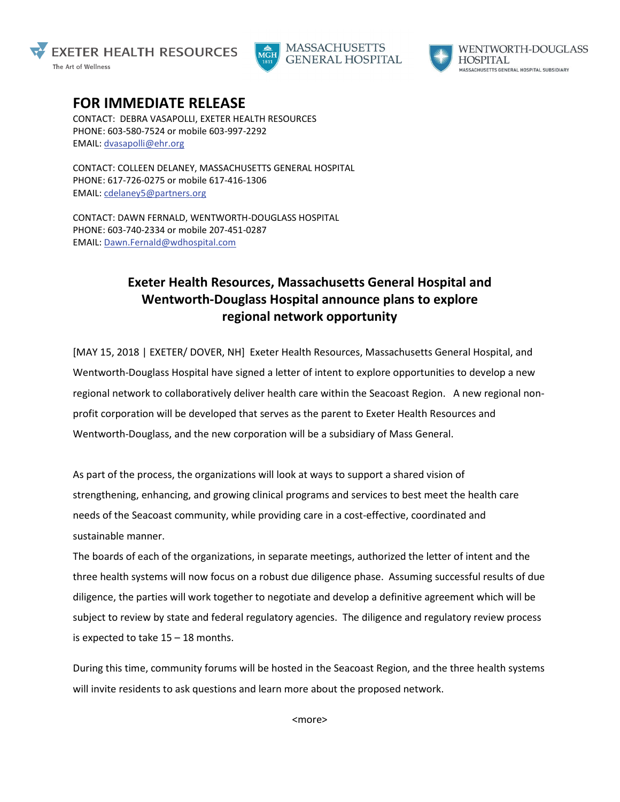





**WENTWORTH-DOUGLASS HOSPITAL** MASSACHUSETTS GENERAL HOSPITAL SUBSIDIARY

## **FOR IMMEDIATE RELEASE**

CONTACT: DEBRA VASAPOLLI, EXETER HEALTH RESOURCES PHONE: 603-580-7524 or mobile 603-997-2292 EMAIL: [dvasapolli@ehr.org](mailto:dvasapolli@ehr.org)

CONTACT: COLLEEN DELANEY, MASSACHUSETTS GENERAL HOSPITAL PHONE: 617-726-0275 or mobile 617-416-1306 EMAIL: [cdelaney5@partners.org](mailto:cdelaney5@partners.org)

CONTACT: DAWN FERNALD, WENTWORTH-DOUGLASS HOSPITAL PHONE: 603-740-2334 or mobile 207-451-0287 EMAIL: [Dawn.Fernald@wdhospital.com](mailto:Dawn.Fernald@wdhospital.com)

## **Exeter Health Resources, Massachusetts General Hospital and Wentworth-Douglass Hospital announce plans to explore regional network opportunity**

[MAY 15, 2018 | EXETER/ DOVER, NH] Exeter Health Resources, Massachusetts General Hospital, and Wentworth-Douglass Hospital have signed a letter of intent to explore opportunities to develop a new regional network to collaboratively deliver health care within the Seacoast Region. A new regional nonprofit corporation will be developed that serves as the parent to Exeter Health Resources and Wentworth-Douglass, and the new corporation will be a subsidiary of Mass General.

As part of the process, the organizations will look at ways to support a shared vision of strengthening, enhancing, and growing clinical programs and services to best meet the health care needs of the Seacoast community, while providing care in a cost-effective, coordinated and sustainable manner.

The boards of each of the organizations, in separate meetings, authorized the letter of intent and the three health systems will now focus on a robust due diligence phase. Assuming successful results of due diligence, the parties will work together to negotiate and develop a definitive agreement which will be subject to review by state and federal regulatory agencies. The diligence and regulatory review process is expected to take  $15 - 18$  months.

During this time, community forums will be hosted in the Seacoast Region, and the three health systems will invite residents to ask questions and learn more about the proposed network.

<more>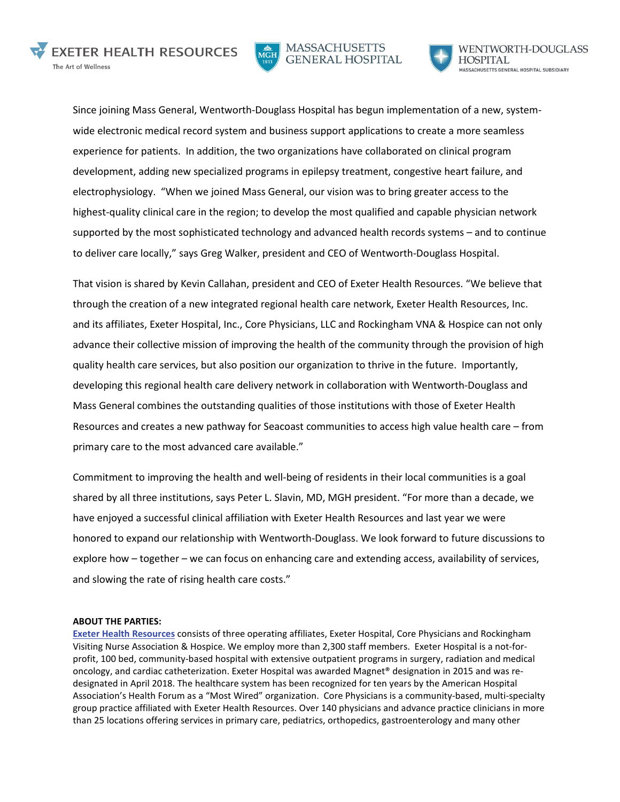





Since joining Mass General, Wentworth-Douglass Hospital has begun implementation of a new, systemwide electronic medical record system and business support applications to create a more seamless experience for patients. In addition, the two organizations have collaborated on clinical program development, adding new specialized programs in epilepsy treatment, congestive heart failure, and electrophysiology. "When we joined Mass General, our vision was to bring greater access to the highest-quality clinical care in the region; to develop the most qualified and capable physician network supported by the most sophisticated technology and advanced health records systems – and to continue to deliver care locally," says Greg Walker, president and CEO of Wentworth-Douglass Hospital.

That vision is shared by Kevin Callahan, president and CEO of Exeter Health Resources. "We believe that through the creation of a new integrated regional health care network, Exeter Health Resources, Inc. and its affiliates, Exeter Hospital, Inc., Core Physicians, LLC and Rockingham VNA & Hospice can not only advance their collective mission of improving the health of the community through the provision of high quality health care services, but also position our organization to thrive in the future. Importantly, developing this regional health care delivery network in collaboration with Wentworth-Douglass and Mass General combines the outstanding qualities of those institutions with those of Exeter Health Resources and creates a new pathway for Seacoast communities to access high value health care – from primary care to the most advanced care available."

Commitment to improving the health and well-being of residents in their local communities is a goal shared by all three institutions, says Peter L. Slavin, MD, MGH president. "For more than a decade, we have enjoyed a successful clinical affiliation with Exeter Health Resources and last year we were honored to expand our relationship with Wentworth-Douglass. We look forward to future discussions to explore how – together – we can focus on enhancing care and extending access, availability of services, and slowing the rate of rising health care costs."

## **ABOUT THE PARTIES:**

**[Exeter Health Resources](https://www.exeterhospital.com/Home)** consists of three operating affiliates, Exeter Hospital, Core Physicians and Rockingham Visiting Nurse Association & Hospice. We employ more than 2,300 staff members. Exeter Hospital is a not-forprofit, 100 bed, community-based hospital with extensive outpatient programs in surgery, radiation and medical oncology, and cardiac catheterization. Exeter Hospital was awarded Magnet® designation in 2015 and was redesignated in April 2018. The healthcare system has been recognized for ten years by the American Hospital Association's Health Forum as a "Most Wired" organization. Core Physicians is a community-based, multi-specialty group practice affiliated with Exeter Health Resources. Over 140 physicians and advance practice clinicians in more than 25 locations offering services in primary care, pediatrics, orthopedics, gastroenterology and many other